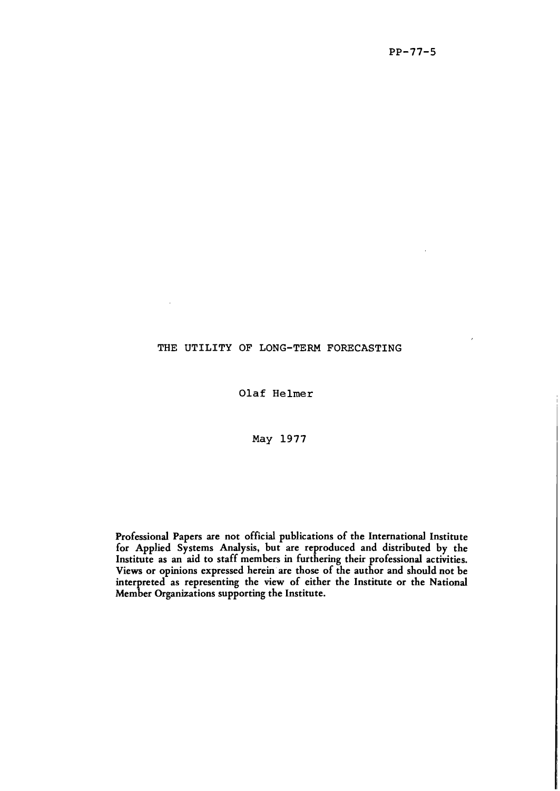## THE UTILITY OF LONG-TERM FORECASTING

Olaf Helmer

May 1977

Professional Papers are not official publications of the International Institute for Applied Systems Analysis, but are reproduced and distributed by the Institute as an aid to staff members in furthering their professional activities. Views or opinions expressed herein are those of the author and should not be interpreted as representing the view of either the Institute or the National Member Organizations supporting the Institute.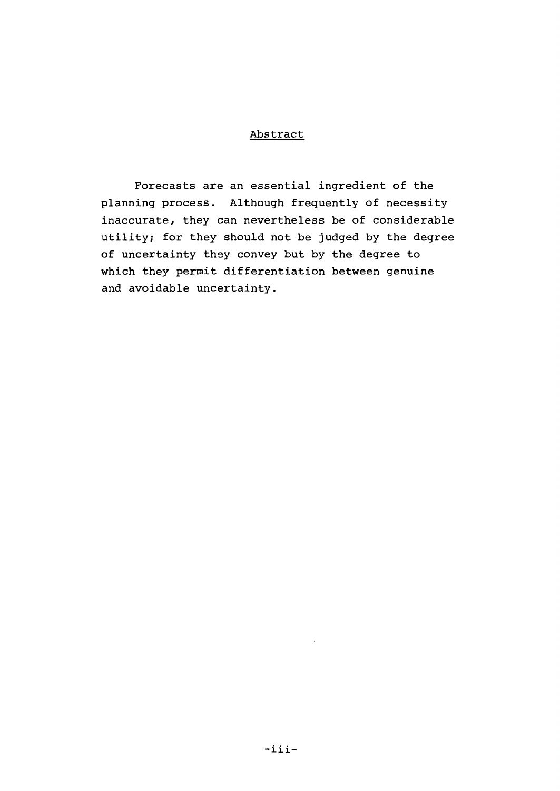## Abstract

Forecasts are an essential ingredient of the planning process. Although frequently of necessity inaccurate, they can nevertheless be of considerable utility; for they should not be judged by the degree of uncertainty they convey but by the degree to which they permit differentiation between genuine and avoidable uncertainty.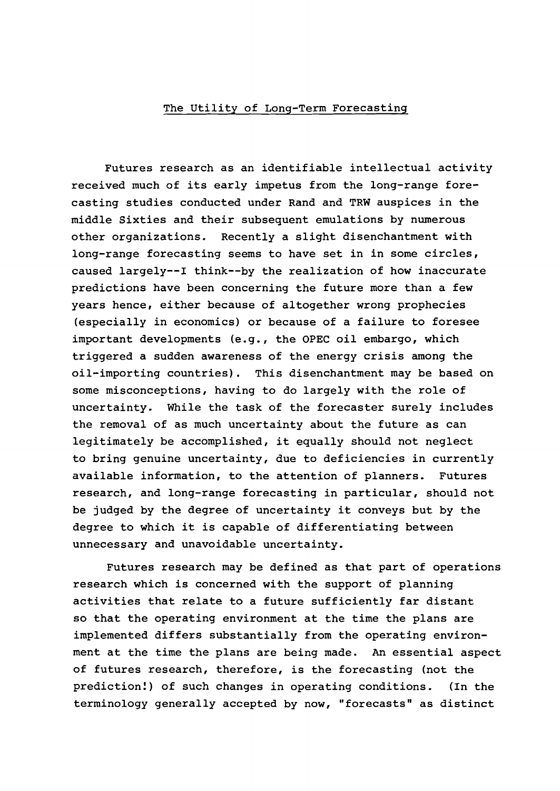## The Utility of Long-Term Forecasting

Futures research as an identifiable intellectual activity received much of its early impetus from the long-range forecasting studies conducted under Rand and TRW auspices in the middle Sixties and their subsequent emulations by numerous other organizations. Recently <sup>a</sup> slight disenchantment with long-range forecasting seems to have set in in some circles, caused largely--I think--by the realization of how inaccurate predictions have been concerning the future more than a few years hence, either because of altogether wrong prophecies (especially in economics) or because of <sup>a</sup> failure to foresee important developments (e.g., the OPEC oil embargo, which triggered <sup>a</sup> sudden awareness of the energy crisis among the oil-importing countries). This disenchantment may be based on some misconceptions, having to do largely with the role of uncertainty. While the task of the forecaster surely includes the removal of as much uncertainty about the future as can legitimately be accomplished, it equally should not neglect to bring genuine uncertainty, due to deficiencies in currently available information, to the attention of planners. Futures research, and long-range forecasting in particular, should not be judged by the degree of uncertainty it conveys but by the degree to which it is capable of differentiating between unnecessary and unavoidable uncertainty.

Futures research may be defined as that part of operations research which is concerned with the support of planning activities that relate to <sup>a</sup> future sufficiently far distant so that the operating environment at the time the plans are implemented differs substantially from the operating environment at the time the plans are being made. An essential aspect of futures research, therefore, is the forecasting (not the prediction!) of such changes in operating conditions. (In the terminology generally accepted by now, "forecasts" as distinct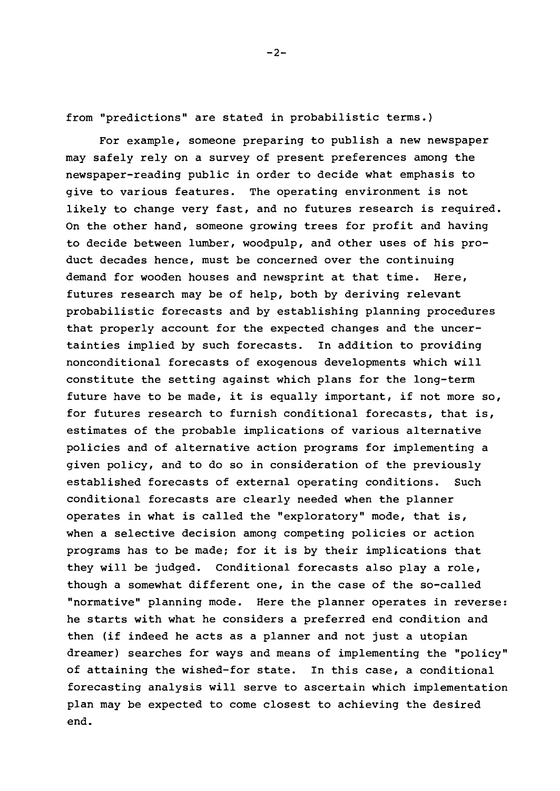from "predictions" are stated in probabilistic terms.)

For example, someone preparing to publish a new newspaper may safely rely on a survey of present preferences among the newspaper-reading public in order to decide what emphasis to give to various features. The operating environment is not likely to change very fast, and no futures research is required. On the other hand, someone growing trees for profit and having to decide between lumber, woodpulp, and other uses of his product decades hence, must be concerned over the continuing demand for wooden houses and newsprint at that time. Here, futures research may be of help, both by deriving relevant probabilistic forecasts and by establishing planning procedures that properly account for the expected changes and the uncertainties implied by such forecasts. In addition to providing nonconditional forecasts of exogenous developments which will constitute the setting against which plans for the long-term future have to be made, it is equally important, if not more so, for futures research to furnish conditional forecasts, that is, estimates of the probable implications of various alternative policies and of alternative action programs for implementing <sup>a</sup> given policy, and to do so in consideration of the previously established forecasts of external operating conditions. Such conditional forecasts are clearly needed when the planner operates in what is called the "exploratory" mode, that is, when a selective decision among competing policies or action programs has to be made; for it is by their implications that they will be judged. Conditional forecasts also play a role, though <sup>a</sup> somewhat different one, in the case of the so-called "normative" planning mode. Here the planner operates in reverse: he starts with what he considers <sup>a</sup> preferred end condition and then (if indeed he acts as <sup>a</sup> planner and not just <sup>a</sup> utopian dreamer) searches for ways and means of implementing the "policy" of attaining the wished-for state. In this case, <sup>a</sup> conditional forecasting analysis will serve to ascertain which implementation plan may be expected to come closest to achieving the desired end.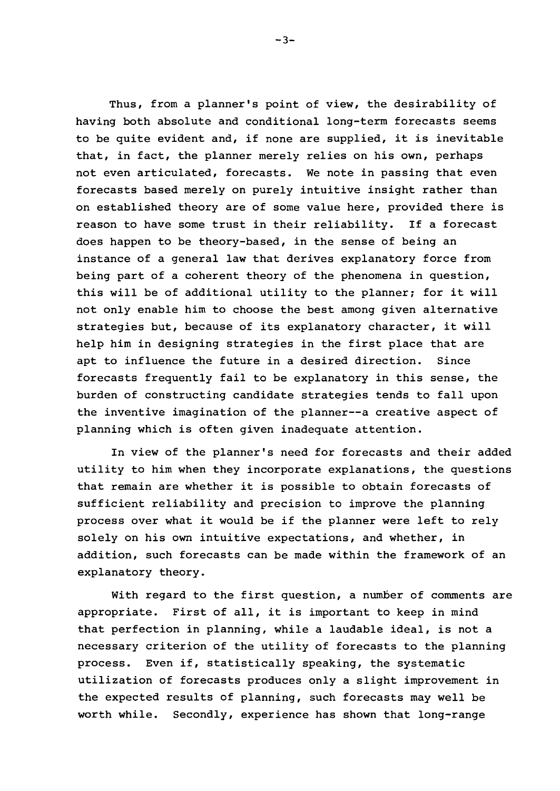Thus, from <sup>a</sup> planner's point of view, the desirability of having both absolute and conditional long-term forecasts seems to be quite evident and, if none are supplied, it is inevitable that, in fact, the planner merely relies on his own, perhaps not even articulated, forecasts. We note in passing that even forecasts based merely on purely intuitive insight rather than on established theory are of some value here, provided there is reason to have some trust in their reliability. If <sup>a</sup> forecast does happen to be theory-based, in the sense of being an instance of <sup>a</sup> general law that derives explanatory force from being part of a coherent theory of the phenomena in question, this will be of additional utility to the planner; for it will not only enable him to choose the best among given alternative strategies but, because of its explanatory character, it will help him in designing strategies in the first place that are apt to influence the future in a desired direction. Since forecasts frequently fail to be explanatory in this sense, the burden of constructing candidate strategies tends to fall upon the inventive imagination of the planner--a creative aspect of planning which is often given inadequate attention.

In view of the planner's need for forecasts and their added utility to him when they incorporate explanations, the questions that remain are whether it is possible to obtain forecasts of sufficient reliability and precision to improve the planning process over what it would be if the planner were left to rely solely on his own intuitive expectations, and whether, in addition, such forecasts can be made within the framework of an explanatory theory.

With regard to the first question, a number of comments are appropriate. First of all, it is important to keep in mind that perfection in planning, while <sup>a</sup> laudable ideal, is not <sup>a</sup> necessary criterion of the utility of forecasts to the planning process. Even if, statistically speaking, the systematic utilization of forecasts produces only <sup>a</sup> slight improvement in the expected results of planning, such forecasts may well be worth while. Secondly, experience has shown that long-range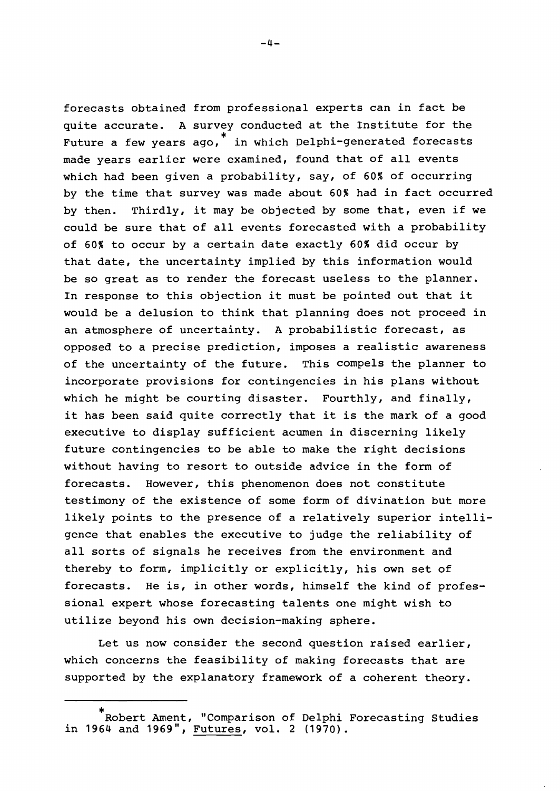forecasts obtained from professional experts can in fact be quite accurate. <sup>A</sup> survey conducted at the Institute for the Future a few years ago, \* in which Delphi-generated forecasts made years earlier were examined, found that of all events which had been given a probability, say, of 60% of occurring by the time that survey was made about 60% had in fact occurred by then. Thirdly, it may be objected by some that, even if we could be sure that of all events forecasted with <sup>a</sup> probability of 60% to occur by a certain date exactly 60% did occur by that date, the uncertainty implied by this information would be so great as to render the forecast useless to the planner. In response to this objection it must be pointed out that it would be <sup>a</sup> delusion to think that planning does not proceed in an atmosphere of uncertainty. <sup>A</sup> probabilistic forecast, as opposed to <sup>a</sup> precise prediction, imposes <sup>a</sup> realistic awareness of the uncertainty of the future. This compels the planner to incorporate provisions for contingencies in his plans without which he might be courting disaster. Fourthly, and finally, it has been said quite correctly that it is the mark of <sup>a</sup> good executive to display sufficient acumen in discerning likely future contingencies to be able to make the right decisions without having to resort to outside advice in the form of forecasts. However, this phenomenon does not constitute testimony of the existence of some form of divination but more likely points to the presence of <sup>a</sup> relatively superior intelligence that enables the executive to judge the reliability of all sorts of signals he receives from the environment and thereby to form, implicitly or explicitly, his own set of forecasts. He is, in other words, himself the kind of professional expert whose forecasting talents one might wish to utilize beyond his own decision-making sphere.

Let us now consider the second question raised earlier, which concerns the feasibility of making forecasts that are supported by the explanatory framework of a coherent theory.

<sup>\*</sup> Robert Ament, "Comparison of Delphi Forecasting Studies in 1964 and 1969", Futures, vol. 2 (1970).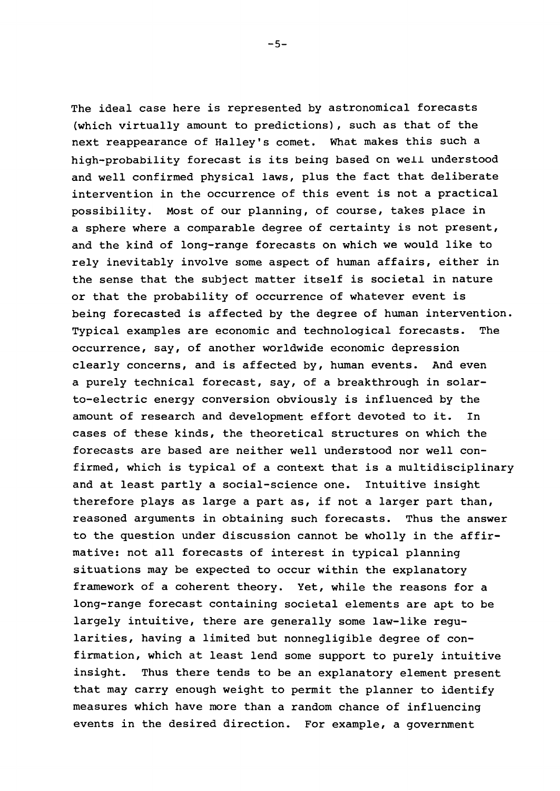The ideal case here is represented by astronomical forecasts (which virtually amount to predictions), such as that of the next reappearance of Halley's comet. What makes this such a high-probability forecast is its being based on well understood and well confirmed physical laws, plus the fact that deliberate intervention in the occurrence of this event is not <sup>a</sup> practical possibility. Most of our planning, of course, takes place in <sup>a</sup> sphere where <sup>a</sup> comparable degree of certainty is not present, and the kind of long-range forecasts on which we would like to rely inevitably involve some aspect of human affairs, either in the sense that the subject matter itself is societal in nature or that the probability of occurrence of whatever event is being forecasted is affected by the degree of human intervention. Typical examples are economic and technological forecasts. The occurrence, say, of another worldwide economic depression clearly concerns, and is affected by, human events. And even a purely technical forecast, say, of a breakthrough in solarto-electric energy conversion obviously is influenced by the amount of research and development effort devoted to it. In cases of these kinds, the theoretical structures on which the forecasts are based are neither well understood nor well confirmed, which is typical of <sup>a</sup> context that is <sup>a</sup> multidisciplinary and at least partly <sup>a</sup> social-science one. Intuitive insight therefore plays as large <sup>a</sup> part as, if not <sup>a</sup> larger part than, reasoned arguments in obtaining such forecasts. Thus the answer to the question under discussion cannot be wholly in the affirmative: not all forecasts of interest in typical planning situations may be expected to occur within the explanatory framework of a coherent theory. Yet, while the reasons for a long-range forecast containing societal elements are apt to be largely intuitive, there are generally some law-like regularities, having <sup>a</sup> limited but nonnegligible degree of confirmation, which at least lend some support to purely intuitive insight. Thus there tends to be an explanatory element present that may carry enough weight to permit the planner to identify measures which have more than a random chance of influencing events in the desired direction. For example, a government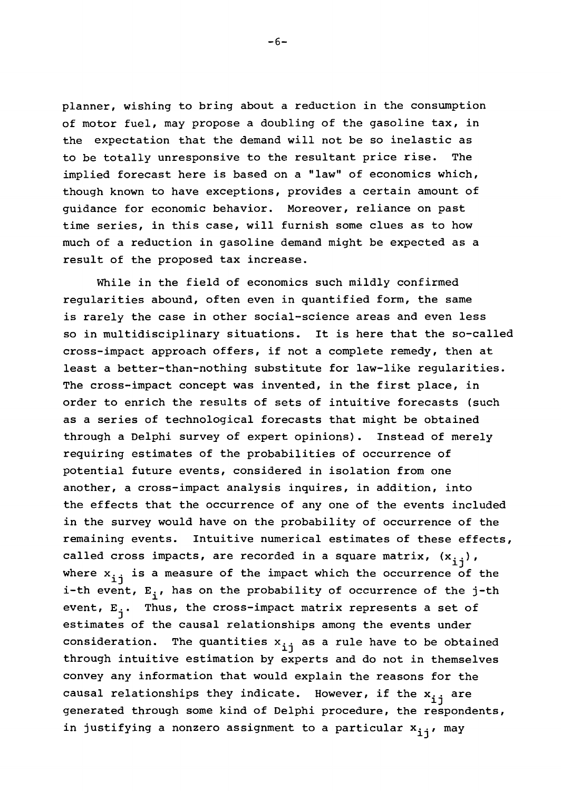planner, wishing to bring about a reduction in the consumption of motor fuel, may propose a doubling of the gasoline tax, in the expectation that the demand will not be so inelastic as to be totally unresponsive to the resultant price rise. The implied forecast here is based on a "law" of economics which, though known to have exceptions, provides a certain amount of guidance for economic behavior. Moreover, reliance on past time series, in this case, will furnish some clues as to how much of a reduction in gasoline demand might be expected as a result of the proposed tax increase.

While in the field of economics such mildly confirmed regularities abound, often even in quantified form, the same is rarely the case in other social-science areas and even less so in multidisciplinary situations. It is here that the so-called cross-impact approach offers, if not <sup>a</sup> complete remedy, then at least <sup>a</sup> better-than-nothing substitute for law-like regularities. The cross-impact concept was invented, in the first place, in order to enrich the results of sets of intuitive forecasts (such as <sup>a</sup> series of technological forecasts that might be obtained through a Delphi survey of expert opinions). Instead of merely requiring estimates of the probabilities of occurrence of potential future events, considered in isolation from one another, a cross-impact analysis inquires, in addition, into the effects that the occurrence of anyone of the events included in the survey would have on the probability of occurrence of the remaining events. Intuitive numerical estimates of these effects, called cross impacts, are recorded in a square matrix,  $(x_{i,j})$ , where  $x_{i,j}$  is a measure of the impact which the occurrence of the i-th event,  $E_i$ , has on the probability of occurrence of the j-th event,  $E_j$ . Thus, the cross-impact matrix represents a set of estimates of the causal relationships among the events under consideration. The quantities  $x_{i,i}$  as a rule have to be obtained through intuitive estimation by experts and do not in themselves convey any information that would explain the reasons for the causal relationships they indicate. However, if the  $\texttt{x}_{\texttt{i}\texttt{j}}$  are generated through some kind of Delphi procedure, the respondents, in justifying a nonzero assignment to a particular  $x_{i,j}$ , may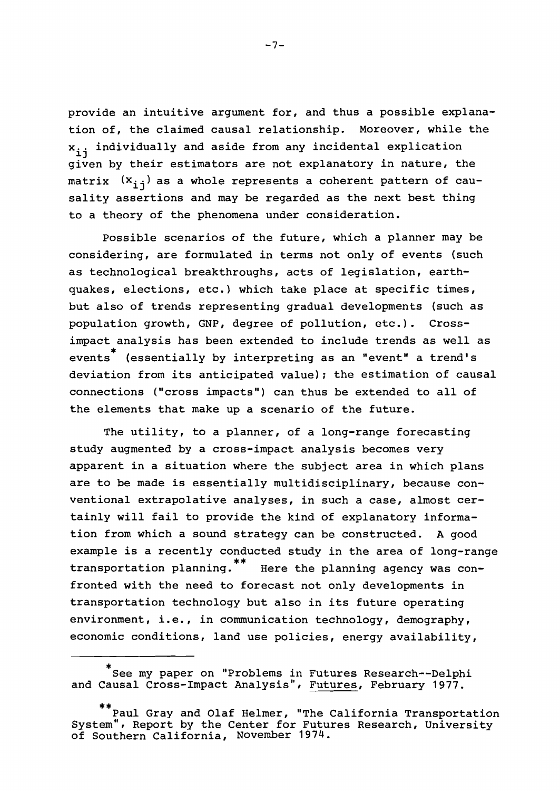provide an intuitive argument for, and thus <sup>a</sup> possible explanation of, the claimed causal relationship. Moreover, while the  $x_{i,i}$  individually and aside from any incidental explication given by their estimators are not explanatory in nature, the matrix  $(x_{i,j})$  as a whole represents a coherent pattern of causality assertions and may be regarded as the next best thing to a theory of the phenomena under consideration.

possible scenarios of the future, which a planner may be considering, are formulated in terms not only of events (such as technological breakthroughs, acts of legislation, earthquakes, elections, etc.) which take place at specific times, but also of trends representing gradual developments (such as population growth, GNP, degree of pollution, etc.). Crossimpact analysis has been extended to include trends as well as events<sup>\*</sup> (essentially by interpreting as an "event" a trend's deviation from its anticipated value); the estimation of causal connections ("cross impacts") can thus be extended to all of the elements that make up <sup>a</sup> scenario of the future.

The utility, to <sup>a</sup> planner, of <sup>a</sup> long-range forecasting study augmented by a cross-impact analysis becomes very apparent in <sup>a</sup> situation where the subject area in which plans are to be made is essentially multidisciplinary, because conventional extrapolative analyses, in such a case, almost certainly will fail to provide the kind of explanatory information from which a sound strategy can be constructed. A good example is <sup>a</sup> recently conducted study in the area of long-range transportation planning.<sup>\*\*</sup> Here the planning agency was confronted with the need to forecast not only developments in transportation technology but also in its future operating environment, i.e., in communication technology, demography, economic conditions, land use policies, energy availability,

 $-7-$ 

<sup>\*&</sup>lt;br>See my paper on "Problems in Futures Research--Delphi and Causal Cross-Impact Analysis", Futures, February 1977.

**<sup>\*\*</sup>** Paul Gray and Olaf Helmer, "The California Transportation System", Report by the Center for Futures Research, University of Southern California, November 1974.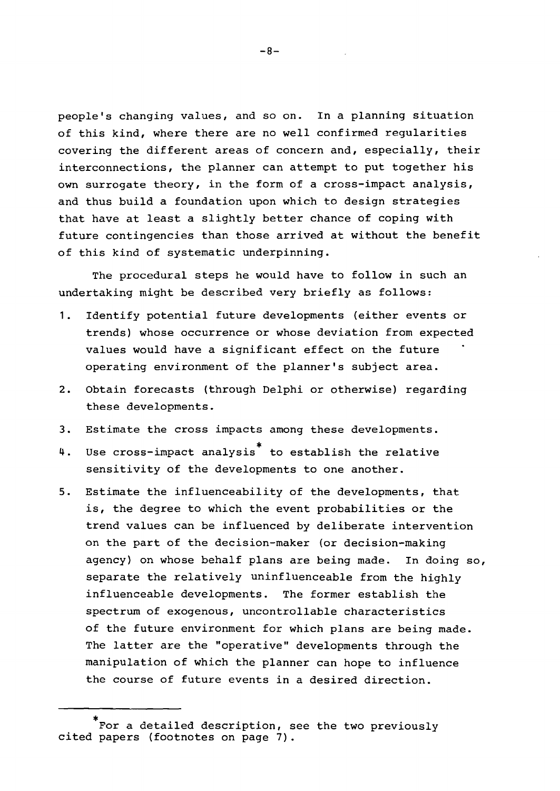people's changing values, and so on. In <sup>a</sup> planning situation of this kind, where there are no well confirmed regularities covering the different areas of concern and, especially, their interconnections, the planner can attempt to put together his own surrogate theory, in the form of a cross-impact analysis, and thus build <sup>a</sup> foundation upon which to design strategies that have at least <sup>a</sup> slightly better chance of coping with future contingencies than those arrived at without the benefit of this kind of systematic underpinning.

The procedural steps he would have to follow in such an undertaking might be described very briefly as follows:

- 1. Identify potential future developments (either events or trends) whose occurrence or whose deviation from expected values would have <sup>a</sup> significant effect on the future operating environment of the planner's subject area.
- 2. Obtain forecasts (through Delphi or otherwise) regarding these developments.
- 3. Estimate the cross impacts among these developments.
- 4. Use cross-impact analysis \* to establish the relative sensitivity of the developments to one another.
- 5. Estimate the influenceability of the developments, that is, the degree to which the event probabilities or the trend values can be influenced by deliberate intervention on the part of the decision-maker (or decision-making agency) on whose behalf plans are being made. In doing so, separate the relatively uninfluenceable from the highly influenceable developments. The former establish the spectrum of exogenous, uncontrollable characteristics of the future environment for which plans are being made. The latter are the "operative" developments through the manipulation of which the planner can hope to influence the course of future events in <sup>a</sup> desired direction.

 $-8-$ 

<sup>\*</sup> For a detailed description, see the two previously cited papers (footnotes on page 7).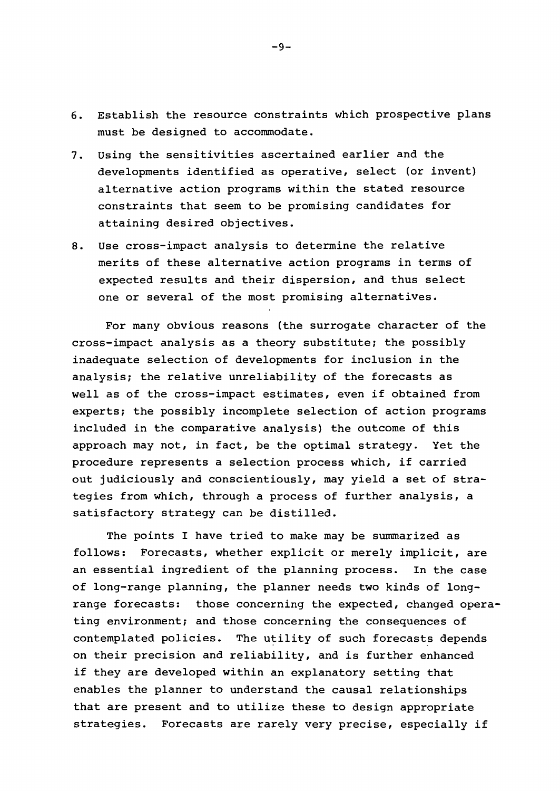- 6. Establish the resource constraints which prospective plans must be designed to accommodate.
- 7. Using the sensitivities ascertained earlier and the developments identified as operative, select (or invent) alternative action programs within the stated resource constraints that seem to be promising candidates for attaining desired objectives.
- 8. Use cross-impact analysis to determine the relative merits of these alternative action programs in terms of expected results and their dispersion, and thus select one or several of the most promising alternatives.

For many obvious reasons (the surrogate character of the cross-impact analysis as <sup>a</sup> theory substitute; the possibly inadequate selection of developments for inclusion in the analysis; the relative unreliability of the forecasts as well as of the cross-impact estimates, even if obtained from experts; the possibly incomplete selection of action programs included in the comparative analysis) the outcome of this approach may not, in fact, be the optimal strategy. Yet the procedure represents <sup>a</sup> selection process which, if carried out judiciously and conscientiously, may yield a set of strategies from which, through a process of further analysis, a satisfactory strategy can be distilled.

The points <sup>I</sup> have tried to make may be summarized as follows: Forecasts, whether explicit or merely implicit, are an essential ingredient of the planning process. In the case of long-range planning, the planner needs two kinds of longrange forecasts: those concerning the expected, changed operating environment; and those concerning the consequences of contemplated policies. The utility of such forecasts depends on their precision and reliability, and is further enhanced if they are developed within an explanatory setting that enables the planner to understand the causal relationships that are present and to utilize these to design appropriate strategies. Forecasts are rarely very precise, especially if

 $-9-$